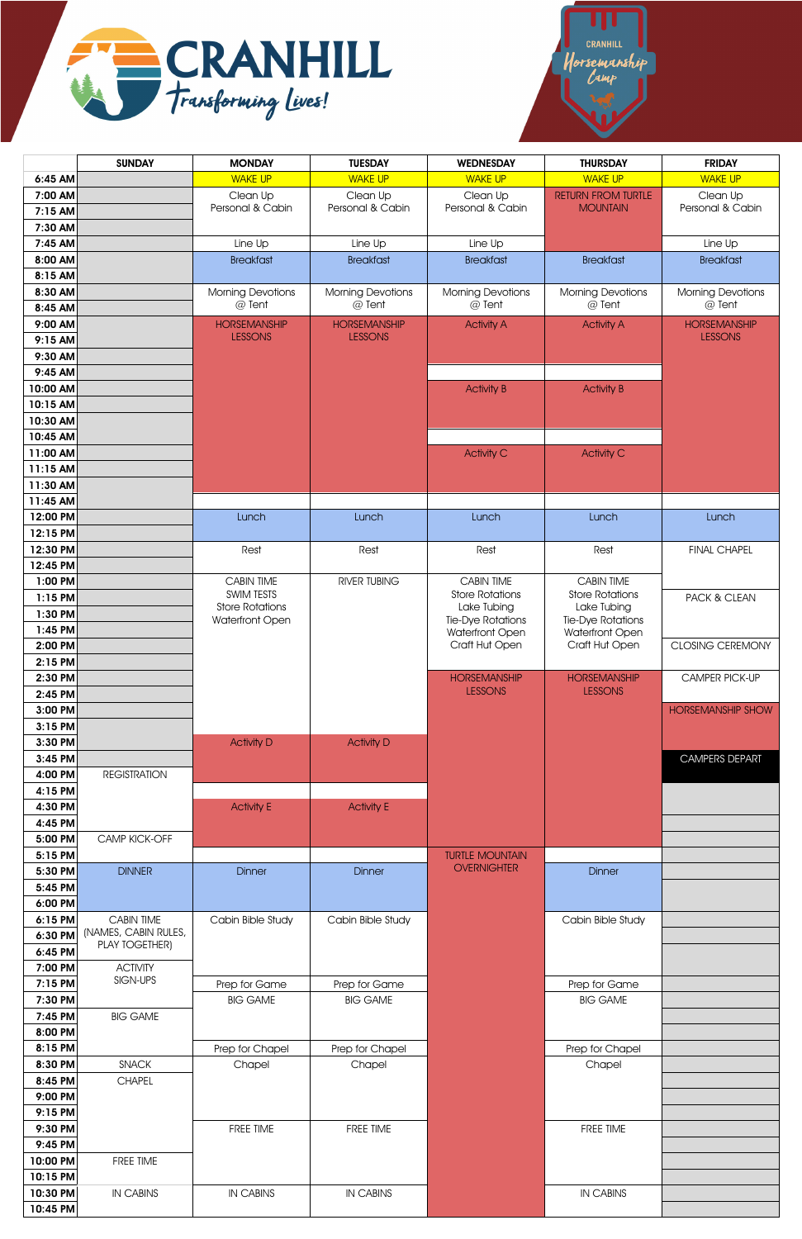



|                      | <b>SUNDAY</b>         | <b>MONDAY</b>                        | <b>TUESDAY</b>               | <b>WEDNESDAY</b>                             | <b>THURSDAY</b>                              | <b>FRIDAY</b>                |
|----------------------|-----------------------|--------------------------------------|------------------------------|----------------------------------------------|----------------------------------------------|------------------------------|
| 6:45 AM              |                       | <b>WAKE UP</b>                       | <b>WAKE UP</b>               | <b>WAKE UP</b>                               | <b>WAKE UP</b>                               | <b>WAKE UP</b>               |
| 7:00 AM              |                       | Clean Up<br>Personal & Cabin         | Clean Up<br>Personal & Cabin | Clean Up<br>Personal & Cabin                 | <b>RETURN FROM TURTLE</b><br><b>MOUNTAIN</b> | Clean Up<br>Personal & Cabin |
| 7:15 AM              |                       |                                      |                              |                                              |                                              |                              |
| 7:30 AM<br>7:45 AM   |                       | Line Up                              | Line Up                      | Line Up                                      |                                              | Line Up                      |
| 8:00 AM              |                       | <b>Breakfast</b>                     | <b>Breakfast</b>             | <b>Breakfast</b>                             | <b>Breakfast</b>                             | <b>Breakfast</b>             |
| 8:15 AM              |                       |                                      |                              |                                              |                                              |                              |
| 8:30 AM              |                       | <b>Morning Devotions</b>             | <b>Morning Devotions</b>     | <b>Morning Devotions</b>                     | <b>Morning Devotions</b>                     | <b>Morning Devotions</b>     |
| 8:45 AM              |                       | @ Tent                               | @ Tent                       | @ Tent                                       | @ Tent                                       | @ Tent                       |
| 9:00 AM              |                       | <b>HORSEMANSHIP</b>                  | <b>HORSEMANSHIP</b>          | <b>Activity A</b>                            | <b>Activity A</b>                            | <b>HORSEMANSHIP</b>          |
| 9:15 AM              |                       | <b>LESSONS</b>                       | <b>LESSONS</b>               |                                              |                                              | <b>LESSONS</b>               |
| 9:30 AM              |                       |                                      |                              |                                              |                                              |                              |
| 9:45 AM<br>10:00 AM  |                       |                                      |                              | <b>Activity B</b>                            | <b>Activity B</b>                            |                              |
| 10:15 AM             |                       |                                      |                              |                                              |                                              |                              |
| 10:30 AM             |                       |                                      |                              |                                              |                                              |                              |
| 10:45 AM             |                       |                                      |                              |                                              |                                              |                              |
| 11:00 AM             |                       |                                      |                              | <b>Activity C</b>                            | <b>Activity C</b>                            |                              |
| 11:15 AM             |                       |                                      |                              |                                              |                                              |                              |
| 11:30 AM<br>11:45 AM |                       |                                      |                              |                                              |                                              |                              |
| 12:00 PM             |                       | Lunch                                | Lunch                        | Lunch                                        | Lunch                                        | Lunch                        |
| 12:15 PM             |                       |                                      |                              |                                              |                                              |                              |
| 12:30 PM             |                       | Rest                                 | Rest                         | Rest                                         | Rest                                         | <b>FINAL CHAPEL</b>          |
| 12:45 PM             |                       |                                      |                              |                                              |                                              |                              |
| 1:00 PM              |                       | <b>CABIN TIME</b>                    | RIVER TUBING                 | <b>CABIN TIME</b>                            | <b>CABIN TIME</b>                            |                              |
| 1:15 PM              |                       | SWIM TESTS<br><b>Store Rotations</b> |                              | <b>Store Rotations</b><br>Lake Tubing        | <b>Store Rotations</b><br>Lake Tubing        | PACK & CLEAN                 |
| 1:30 PM              |                       | Waterfront Open                      |                              | Tie-Dye Rotations                            | Tie-Dye Rotations                            |                              |
| 1:45 PM<br>2:00 PM   |                       |                                      |                              | Waterfront Open<br>Craft Hut Open            | Waterfront Open<br>Craft Hut Open            | <b>CLOSING CEREMONY</b>      |
| 2:15 PM              |                       |                                      |                              |                                              |                                              |                              |
| 2:30 PM              |                       |                                      |                              | <b>HORSEMANSHIP</b>                          | <b>HORSEMANSHIP</b>                          | CAMPER PICK-UP               |
| 2:45 PM              |                       |                                      |                              | <b>LESSONS</b>                               | <b>LESSONS</b>                               |                              |
| 3:00 PM              |                       |                                      |                              |                                              |                                              | <b>HORSEMANSHIP SHOW</b>     |
| 3:15 PM              |                       |                                      |                              |                                              |                                              |                              |
| 3:30 PM              |                       | <b>Activity D</b>                    | <b>Activity D</b>            |                                              |                                              |                              |
| 3:45 PM<br>4:00 PM   | <b>REGISTRATION</b>   |                                      |                              |                                              |                                              | <b>CAMPERS DEPART</b>        |
| 4:15 PM              |                       |                                      |                              |                                              |                                              |                              |
| 4:30 PM              |                       | <b>Activity E</b>                    | <b>Activity E</b>            |                                              |                                              |                              |
| 4:45 PM              |                       |                                      |                              |                                              |                                              |                              |
| 5:00 PM              | CAMP KICK-OFF         |                                      |                              |                                              |                                              |                              |
| 5:15 PM              |                       |                                      |                              | <b>TURTLE MOUNTAIN</b><br><b>OVERNIGHTER</b> |                                              |                              |
| 5:30 PM<br>5:45 PM   | <b>DINNER</b>         | <b>Dinner</b>                        | <b>Dinner</b>                |                                              | <b>Dinner</b>                                |                              |
| 6:00 PM              |                       |                                      |                              |                                              |                                              |                              |
| 6:15 PM              | CABIN TIME            | Cabin Bible Study                    | Cabin Bible Study            |                                              | Cabin Bible Study                            |                              |
| 6:30 PM              | (NAMES, CABIN RULES,  |                                      |                              |                                              |                                              |                              |
| 6:45 PM              | <b>PLAY TOGETHER)</b> |                                      |                              |                                              |                                              |                              |
| 7:00 PM              | <b>ACTIVITY</b>       |                                      |                              |                                              |                                              |                              |
| 7:15 PM              | SIGN-UPS              | Prep for Game                        | Prep for Game                |                                              | Prep for Game                                |                              |
| 7:30 PM<br>7:45 PM   | <b>BIG GAME</b>       | <b>BIG GAME</b>                      | <b>BIG GAME</b>              |                                              | <b>BIG GAME</b>                              |                              |
| 8:00 PM              |                       |                                      |                              |                                              |                                              |                              |
| 8:15 PM              |                       | Prep for Chapel                      | Prep for Chapel              |                                              | Prep for Chapel                              |                              |
| 8:30 PM              | <b>SNACK</b>          | Chapel                               | Chapel                       |                                              | Chapel                                       |                              |
| 8:45 PM              | <b>CHAPEL</b>         |                                      |                              |                                              |                                              |                              |
| 9:00 PM              |                       |                                      |                              |                                              |                                              |                              |
| 9:15 PM              |                       |                                      |                              |                                              |                                              |                              |
| 9:30 PM              |                       | FREE TIME                            | FREE TIME                    |                                              | FREE TIME                                    |                              |
| 9:45 PM<br>10:00 PM  | FREE TIME             |                                      |                              |                                              |                                              |                              |
| 10:15 PM             |                       |                                      |                              |                                              |                                              |                              |
| 10:30 PM             | <b>IN CABINS</b>      | <b>IN CABINS</b>                     | <b>IN CABINS</b>             |                                              | <b>IN CABINS</b>                             |                              |
| 10:45 PM             |                       |                                      |                              |                                              |                                              |                              |

| Cabin Bible Study |  |
|-------------------|--|
| Prep for Game     |  |
| <b>BIG GAME</b>   |  |
| Prep for Chapel   |  |
| Chapel            |  |
| FREE TIME         |  |
| <b>IN CABINS</b>  |  |